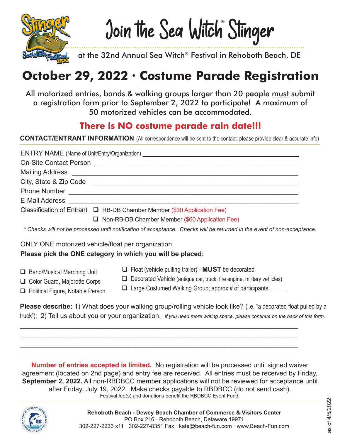

Join the Sea Witch Stinger ®

at the 32nd Annual Sea Witch® Festival in Rehoboth Beach, DE

# **October 29, 2022 · Costume Parade Registration**

All motorized entries, bands & walking groups larger than 20 people must submit a registration form prior to September 2, 2022 to participate! A maximum of 50 motorized vehicles can be accommodated.

## **There is NO costume parade rain date!!!**

**CONTACT/ENTRANT INFORMATION** (All correspondence will be sent to the contact; please provide clear & accurate info)

|                               | ENTRY NAME (Name of Unit/Entry/Organization) ___________________________________ |
|-------------------------------|----------------------------------------------------------------------------------|
| <b>On-Site Contact Person</b> |                                                                                  |
|                               |                                                                                  |
|                               |                                                                                  |
| <b>Phone Number</b>           |                                                                                  |
| <b>E-Mail Address</b>         |                                                                                  |
|                               | Classification of Entrant $\Box$ RB-DB Chamber Member (\$30 Application Fee)     |
|                               | $\Box$ Non-RB-DB Chamber Member (\$60 Application Fee)                           |
|                               |                                                                                  |

 *\* Checks will not be processed until notification of acceptance. Checks will be returned in the event of non-acceptance.*

ONLY ONE motorized vehicle/float per organization.

### **Please pick the ONE category in which you will be placed:**

- $\Box$  Band/Musical Marching Unit
- □ Color Guard, Majorette Corps
- $\Box$  Political Figure, Notable Person
- $\Box$  Decorated Vehicle (antique car, truck, fire engine, military vehicles)

q Float (vehicle pulling trailer) - **MUST** be decorated

 $\Box$  Large Costumed Walking Group; approx # of participants  $\Box$ 

**Please describe:** 1) What does your walking group/rolling vehicle look like? (i.e. "a decorated float pulled by a truck"); 2) Tell us about you or your organization. *If you need more writing space, please continue on the back of this form.*

\_\_\_\_\_\_\_\_\_\_\_\_\_\_\_\_\_\_\_\_\_\_\_\_\_\_\_\_\_\_\_\_\_\_\_\_\_\_\_\_\_\_\_\_\_\_\_\_\_\_\_\_\_\_\_\_\_\_\_\_\_\_\_\_\_\_\_\_\_\_\_\_\_\_\_ \_\_\_\_\_\_\_\_\_\_\_\_\_\_\_\_\_\_\_\_\_\_\_\_\_\_\_\_\_\_\_\_\_\_\_\_\_\_\_\_\_\_\_\_\_\_\_\_\_\_\_\_\_\_\_\_\_\_\_\_\_\_\_\_\_\_\_\_\_\_\_\_\_\_\_ \_\_\_\_\_\_\_\_\_\_\_\_\_\_\_\_\_\_\_\_\_\_\_\_\_\_\_\_\_\_\_\_\_\_\_\_\_\_\_\_\_\_\_\_\_\_\_\_\_\_\_\_\_\_\_\_\_\_\_\_\_\_\_\_\_\_\_\_\_\_\_\_\_\_\_ \_\_\_\_\_\_\_\_\_\_\_\_\_\_\_\_\_\_\_\_\_\_\_\_\_\_\_\_\_\_\_\_\_\_\_\_\_\_\_\_\_\_\_\_\_\_\_\_\_\_\_\_\_\_\_\_\_\_\_\_\_\_\_\_\_\_\_\_\_\_\_\_\_\_\_

**Number of entries accepted is limited.** No registration will be processed until signed waiver agreement (located on 2nd page) and entry fee are received. All entries must be received by Friday, **September 2, 2022.** All non-RBDBCC member applications will not be reviewed for acceptance until after Friday, July 19, 2022. Make checks payable to RBDBCC (do not send cash). Festival fee(s) and donations benefit the RBDBCC Event Fund.